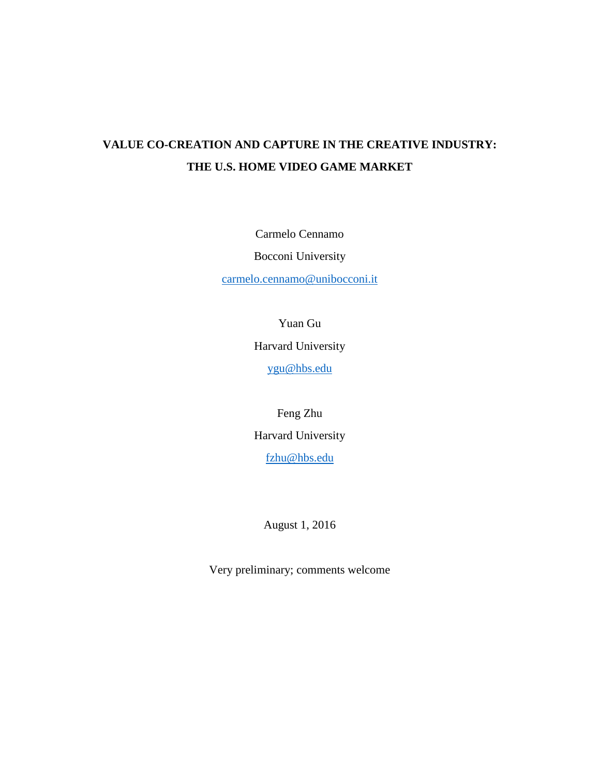# **VALUE CO-CREATION AND CAPTURE IN THE CREATIVE INDUSTRY: THE U.S. HOME VIDEO GAME MARKET**

Carmelo Cennamo

Bocconi University

[carmelo.cennamo@unibocconi.it](mailto:carmelo.cennamo@unibocconi.it)

Yuan Gu

Harvard University

[ygu@hbs.edu](mailto:ygu@hbs.edu)

Feng Zhu Harvard University [fzhu@hbs.edu](mailto:fzhu@hbs.edu)

August 1, 2016

Very preliminary; comments welcome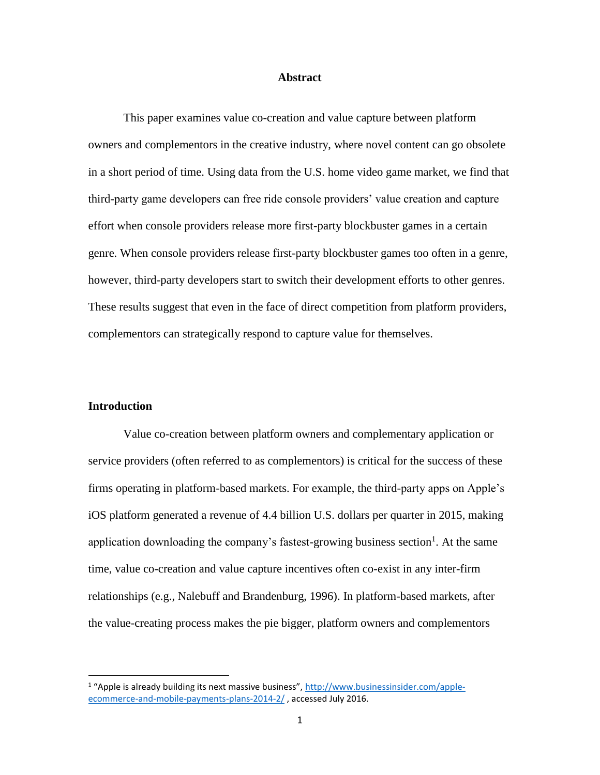### **Abstract**

This paper examines value co-creation and value capture between platform owners and complementors in the creative industry, where novel content can go obsolete in a short period of time. Using data from the U.S. home video game market, we find that third-party game developers can free ride console providers' value creation and capture effort when console providers release more first-party blockbuster games in a certain genre. When console providers release first-party blockbuster games too often in a genre, however, third-party developers start to switch their development efforts to other genres. These results suggest that even in the face of direct competition from platform providers, complementors can strategically respond to capture value for themselves.

#### **Introduction**

l

Value co-creation between platform owners and complementary application or service providers (often referred to as complementors) is critical for the success of these firms operating in platform-based markets. For example, the third-party apps on Apple's iOS platform generated a revenue of 4.4 billion U.S. dollars per quarter in 2015, making application downloading the company's fastest-growing business section<sup>1</sup>. At the same time, value co-creation and value capture incentives often co-exist in any inter-firm relationships (e.g., Nalebuff and Brandenburg, 1996). In platform-based markets, after the value-creating process makes the pie bigger, platform owners and complementors

<sup>&</sup>lt;sup>1</sup> "Apple is already building its next massive business", [http://www.businessinsider.com/apple](http://www.businessinsider.com/apple-ecommerce-and-mobile-payments-plans-2014-2/)[ecommerce-and-mobile-payments-plans-2014-2/](http://www.businessinsider.com/apple-ecommerce-and-mobile-payments-plans-2014-2/) , accessed July 2016.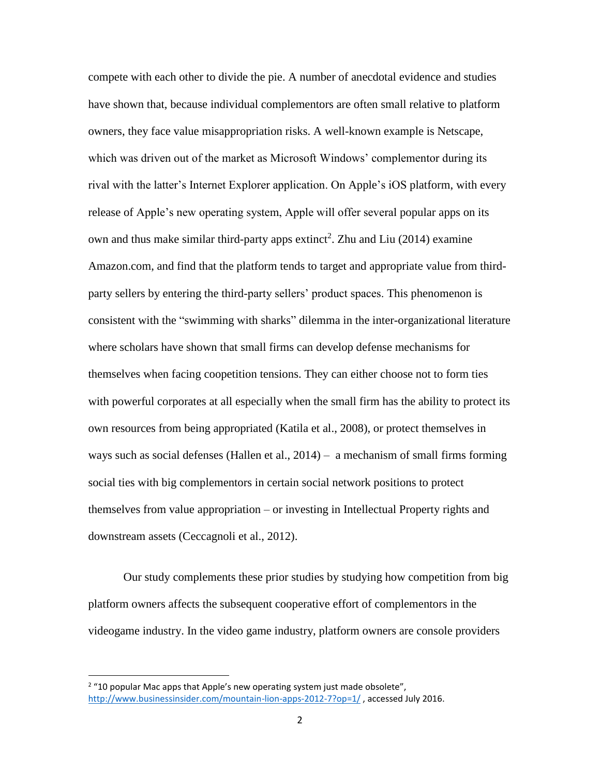compete with each other to divide the pie. A number of anecdotal evidence and studies have shown that, because individual complementors are often small relative to platform owners, they face value misappropriation risks. A well-known example is Netscape, which was driven out of the market as Microsoft Windows' complementor during its rival with the latter's Internet Explorer application. On Apple's iOS platform, with every release of Apple's new operating system, Apple will offer several popular apps on its own and thus make similar third-party apps extinct<sup>2</sup>. Zhu and Liu  $(2014)$  examine Amazon.com, and find that the platform tends to target and appropriate value from thirdparty sellers by entering the third-party sellers' product spaces. This phenomenon is consistent with the "swimming with sharks" dilemma in the inter-organizational literature where scholars have shown that small firms can develop defense mechanisms for themselves when facing coopetition tensions. They can either choose not to form ties with powerful corporates at all especially when the small firm has the ability to protect its own resources from being appropriated (Katila et al., 2008), or protect themselves in ways such as social defenses (Hallen et al., 2014) – a mechanism of small firms forming social ties with big complementors in certain social network positions to protect themselves from value appropriation – or investing in Intellectual Property rights and downstream assets (Ceccagnoli et al., 2012).

Our study complements these prior studies by studying how competition from big platform owners affects the subsequent cooperative effort of complementors in the videogame industry. In the video game industry, platform owners are console providers

l

 $2$  "10 popular Mac apps that Apple's new operating system just made obsolete", <http://www.businessinsider.com/mountain-lion-apps-2012-7?op=1/> , accessed July 2016.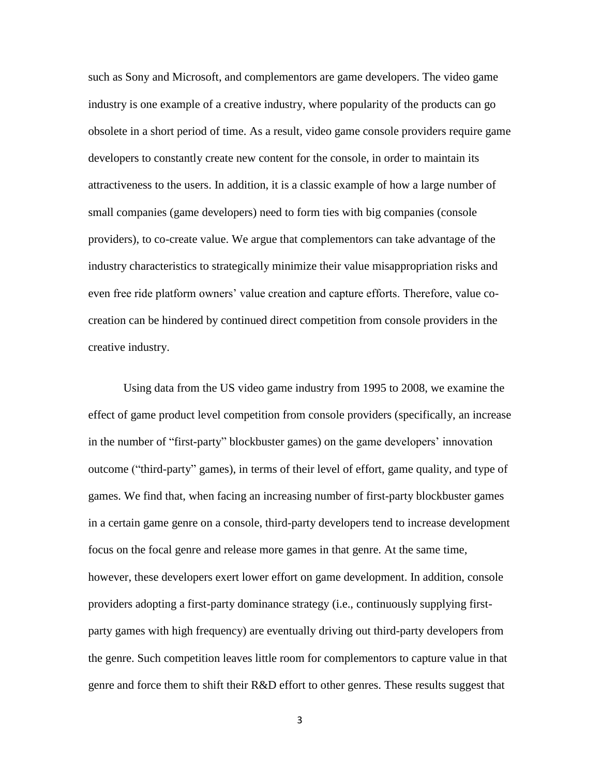such as Sony and Microsoft, and complementors are game developers. The video game industry is one example of a creative industry, where popularity of the products can go obsolete in a short period of time. As a result, video game console providers require game developers to constantly create new content for the console, in order to maintain its attractiveness to the users. In addition, it is a classic example of how a large number of small companies (game developers) need to form ties with big companies (console providers), to co-create value. We argue that complementors can take advantage of the industry characteristics to strategically minimize their value misappropriation risks and even free ride platform owners' value creation and capture efforts. Therefore, value cocreation can be hindered by continued direct competition from console providers in the creative industry.

Using data from the US video game industry from 1995 to 2008, we examine the effect of game product level competition from console providers (specifically, an increase in the number of "first-party" blockbuster games) on the game developers' innovation outcome ("third-party" games), in terms of their level of effort, game quality, and type of games. We find that, when facing an increasing number of first-party blockbuster games in a certain game genre on a console, third-party developers tend to increase development focus on the focal genre and release more games in that genre. At the same time, however, these developers exert lower effort on game development. In addition, console providers adopting a first-party dominance strategy (i.e., continuously supplying firstparty games with high frequency) are eventually driving out third-party developers from the genre. Such competition leaves little room for complementors to capture value in that genre and force them to shift their R&D effort to other genres. These results suggest that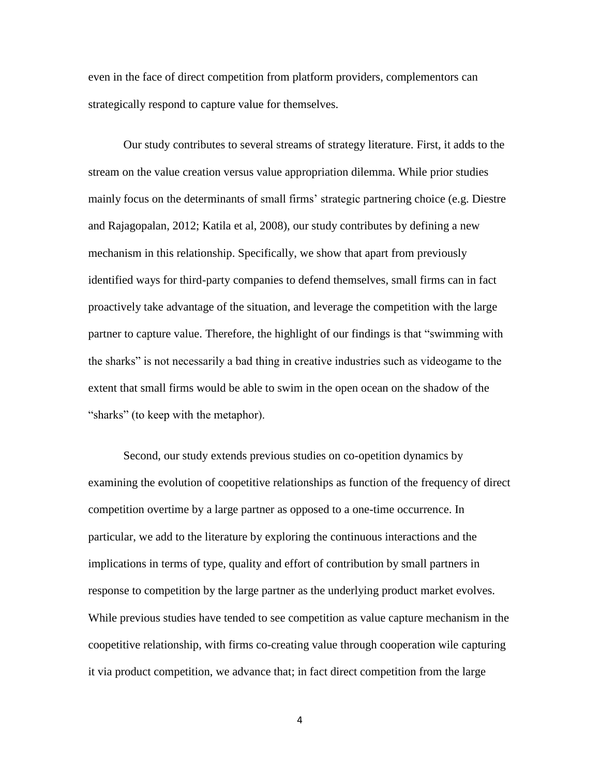even in the face of direct competition from platform providers, complementors can strategically respond to capture value for themselves.

Our study contributes to several streams of strategy literature. First, it adds to the stream on the value creation versus value appropriation dilemma. While prior studies mainly focus on the determinants of small firms' strategic partnering choice (e.g. Diestre and Rajagopalan, 2012; Katila et al, 2008), our study contributes by defining a new mechanism in this relationship. Specifically, we show that apart from previously identified ways for third-party companies to defend themselves, small firms can in fact proactively take advantage of the situation, and leverage the competition with the large partner to capture value. Therefore, the highlight of our findings is that "swimming with the sharks" is not necessarily a bad thing in creative industries such as videogame to the extent that small firms would be able to swim in the open ocean on the shadow of the "sharks" (to keep with the metaphor).

Second, our study extends previous studies on co-opetition dynamics by examining the evolution of coopetitive relationships as function of the frequency of direct competition overtime by a large partner as opposed to a one-time occurrence. In particular, we add to the literature by exploring the continuous interactions and the implications in terms of type, quality and effort of contribution by small partners in response to competition by the large partner as the underlying product market evolves. While previous studies have tended to see competition as value capture mechanism in the coopetitive relationship, with firms co-creating value through cooperation wile capturing it via product competition, we advance that; in fact direct competition from the large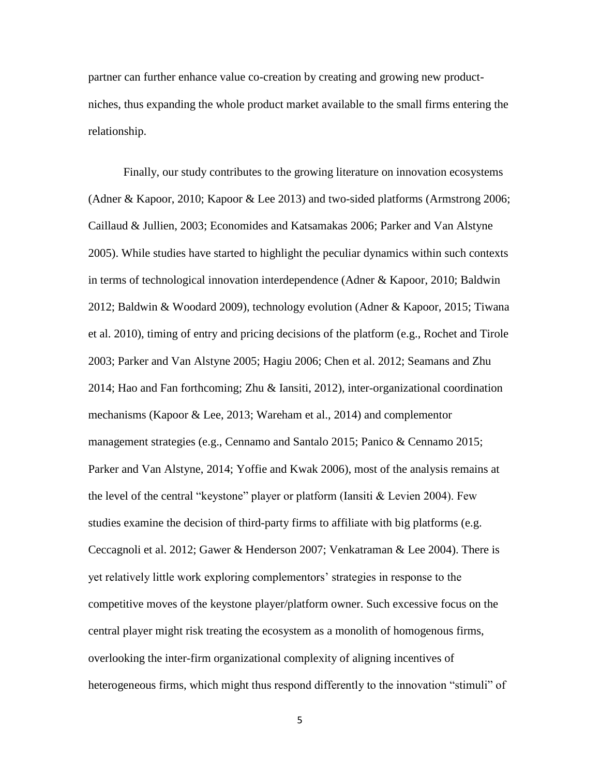partner can further enhance value co-creation by creating and growing new productniches, thus expanding the whole product market available to the small firms entering the relationship.

Finally, our study contributes to the growing literature on innovation ecosystems (Adner & Kapoor, 2010; Kapoor & Lee 2013) and two-sided platforms (Armstrong 2006; Caillaud & Jullien, 2003; Economides and Katsamakas 2006; Parker and Van Alstyne 2005). While studies have started to highlight the peculiar dynamics within such contexts in terms of technological innovation interdependence (Adner & Kapoor, 2010; Baldwin 2012; Baldwin & Woodard 2009), technology evolution (Adner & Kapoor, 2015; Tiwana et al. 2010), timing of entry and pricing decisions of the platform (e.g., Rochet and Tirole 2003; Parker and Van Alstyne 2005; Hagiu 2006; Chen et al. 2012; Seamans and Zhu 2014; Hao and Fan forthcoming; Zhu & Iansiti, 2012), inter-organizational coordination mechanisms (Kapoor & Lee, 2013; Wareham et al., 2014) and complementor management strategies (e.g., Cennamo and Santalo 2015; Panico & Cennamo 2015; Parker and Van Alstyne, 2014; Yoffie and Kwak 2006), most of the analysis remains at the level of the central "keystone" player or platform (Iansiti & Levien 2004). Few studies examine the decision of third-party firms to affiliate with big platforms (e.g. Ceccagnoli et al. 2012; Gawer & Henderson 2007; Venkatraman & Lee 2004). There is yet relatively little work exploring complementors' strategies in response to the competitive moves of the keystone player/platform owner. Such excessive focus on the central player might risk treating the ecosystem as a monolith of homogenous firms, overlooking the inter-firm organizational complexity of aligning incentives of heterogeneous firms, which might thus respond differently to the innovation "stimuli" of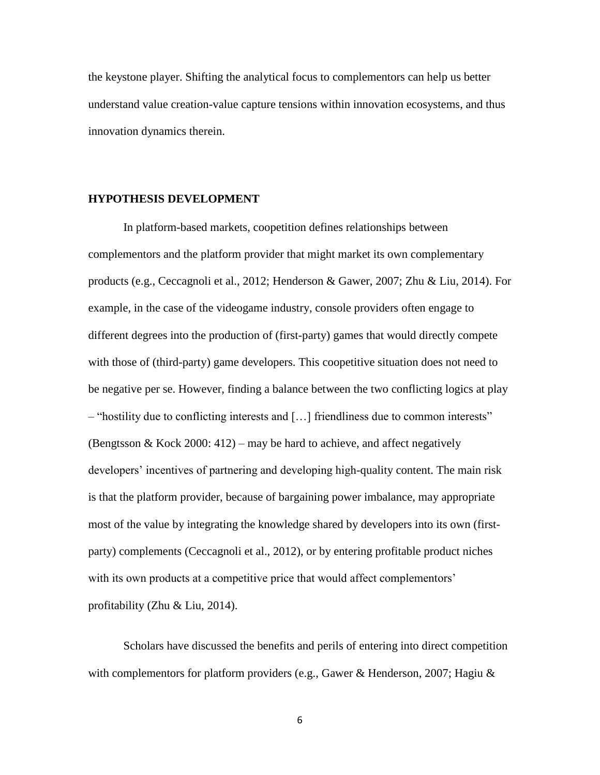the keystone player. Shifting the analytical focus to complementors can help us better understand value creation-value capture tensions within innovation ecosystems, and thus innovation dynamics therein.

#### **HYPOTHESIS DEVELOPMENT**

In platform-based markets, coopetition defines relationships between complementors and the platform provider that might market its own complementary products (e.g., Ceccagnoli et al., 2012; Henderson & Gawer, 2007; Zhu & Liu, 2014). For example, in the case of the videogame industry, console providers often engage to different degrees into the production of (first-party) games that would directly compete with those of (third-party) game developers. This coopetitive situation does not need to be negative per se. However, finding a balance between the two conflicting logics at play – "hostility due to conflicting interests and […] friendliness due to common interests" (Bengtsson & Kock 2000: 412) – may be hard to achieve, and affect negatively developers' incentives of partnering and developing high-quality content. The main risk is that the platform provider, because of bargaining power imbalance, may appropriate most of the value by integrating the knowledge shared by developers into its own (firstparty) complements (Ceccagnoli et al., 2012), or by entering profitable product niches with its own products at a competitive price that would affect complementors' profitability (Zhu & Liu, 2014).

Scholars have discussed the benefits and perils of entering into direct competition with complementors for platform providers (e.g., Gawer & Henderson, 2007; Hagiu &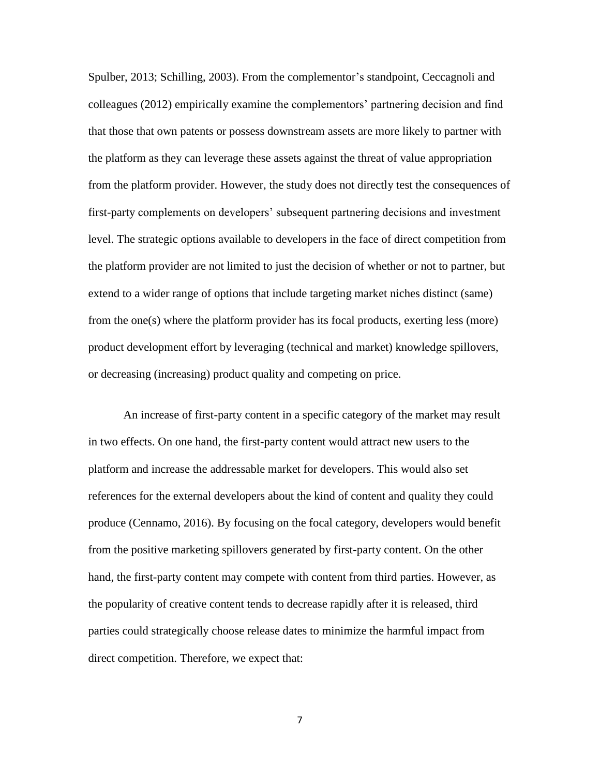Spulber, 2013; Schilling, 2003). From the complementor's standpoint, Ceccagnoli and colleagues (2012) empirically examine the complementors' partnering decision and find that those that own patents or possess downstream assets are more likely to partner with the platform as they can leverage these assets against the threat of value appropriation from the platform provider. However, the study does not directly test the consequences of first-party complements on developers' subsequent partnering decisions and investment level. The strategic options available to developers in the face of direct competition from the platform provider are not limited to just the decision of whether or not to partner, but extend to a wider range of options that include targeting market niches distinct (same) from the one(s) where the platform provider has its focal products, exerting less (more) product development effort by leveraging (technical and market) knowledge spillovers, or decreasing (increasing) product quality and competing on price.

An increase of first-party content in a specific category of the market may result in two effects. On one hand, the first-party content would attract new users to the platform and increase the addressable market for developers. This would also set references for the external developers about the kind of content and quality they could produce (Cennamo, 2016). By focusing on the focal category, developers would benefit from the positive marketing spillovers generated by first-party content. On the other hand, the first-party content may compete with content from third parties. However, as the popularity of creative content tends to decrease rapidly after it is released, third parties could strategically choose release dates to minimize the harmful impact from direct competition. Therefore, we expect that: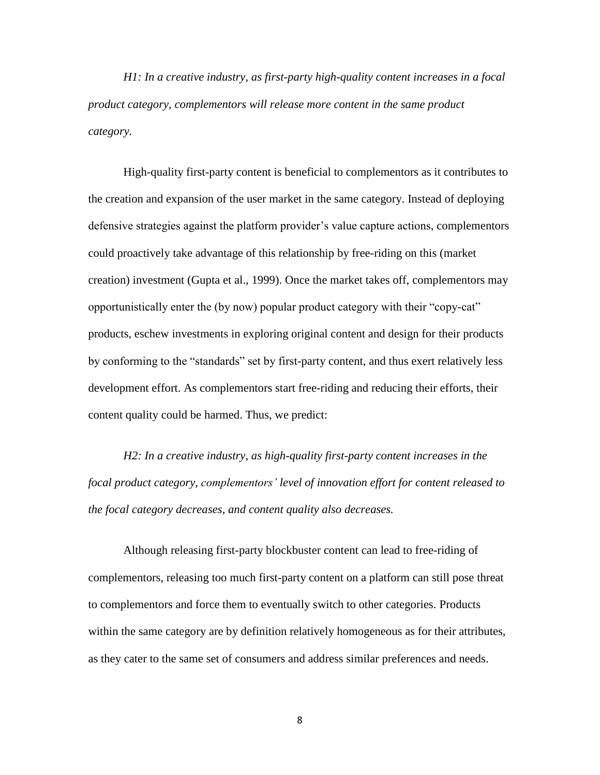*H1: In a creative industry, as first-party high-quality content increases in a focal product category, complementors will release more content in the same product category.*

High-quality first-party content is beneficial to complementors as it contributes to the creation and expansion of the user market in the same category. Instead of deploying defensive strategies against the platform provider's value capture actions, complementors could proactively take advantage of this relationship by free-riding on this (market creation) investment (Gupta et al., 1999). Once the market takes off, complementors may opportunistically enter the (by now) popular product category with their "copy-cat" products, eschew investments in exploring original content and design for their products by conforming to the "standards" set by first-party content, and thus exert relatively less development effort. As complementors start free-riding and reducing their efforts, their content quality could be harmed. Thus, we predict:

*H2: In a creative industry, as high-quality first-party content increases in the focal product category, complementors' level of innovation effort for content released to the focal category decreases, and content quality also decreases.*

Although releasing first-party blockbuster content can lead to free-riding of complementors, releasing too much first-party content on a platform can still pose threat to complementors and force them to eventually switch to other categories. Products within the same category are by definition relatively homogeneous as for their attributes, as they cater to the same set of consumers and address similar preferences and needs.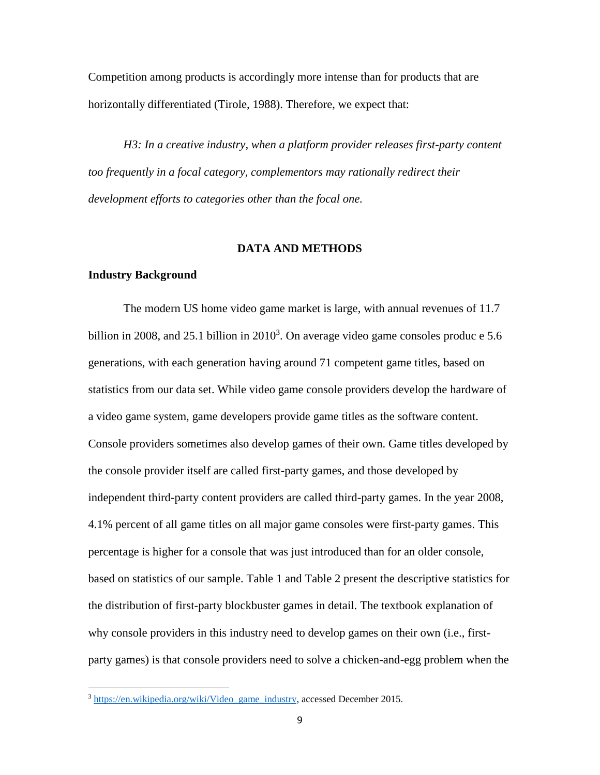Competition among products is accordingly more intense than for products that are horizontally differentiated (Tirole, 1988). Therefore, we expect that:

*H3: In a creative industry, when a platform provider releases first-party content too frequently in a focal category, complementors may rationally redirect their development efforts to categories other than the focal one.*

#### **DATA AND METHODS**

#### **Industry Background**

 $\overline{\phantom{a}}$ 

The modern US home video game market is large, with annual revenues of 11.7 billion in 2008, and 25.1 billion in  $2010<sup>3</sup>$ . On average video game consoles produc e 5.6 generations, with each generation having around 71 competent game titles, based on statistics from our data set. While video game console providers develop the hardware of a video game system, game developers provide game titles as the software content. Console providers sometimes also develop games of their own. Game titles developed by the console provider itself are called first-party games, and those developed by independent third-party content providers are called third-party games. In the year 2008, 4.1% percent of all game titles on all major game consoles were first-party games. This percentage is higher for a console that was just introduced than for an older console, based on statistics of our sample. Table 1 and Table 2 present the descriptive statistics for the distribution of first-party blockbuster games in detail. The textbook explanation of why console providers in this industry need to develop games on their own (i.e., firstparty games) is that console providers need to solve a chicken-and-egg problem when the

<sup>&</sup>lt;sup>3</sup> [https://en.wikipedia.org/wiki/Video\\_game\\_industry,](https://en.wikipedia.org/wiki/Video_game_industry) accessed December 2015.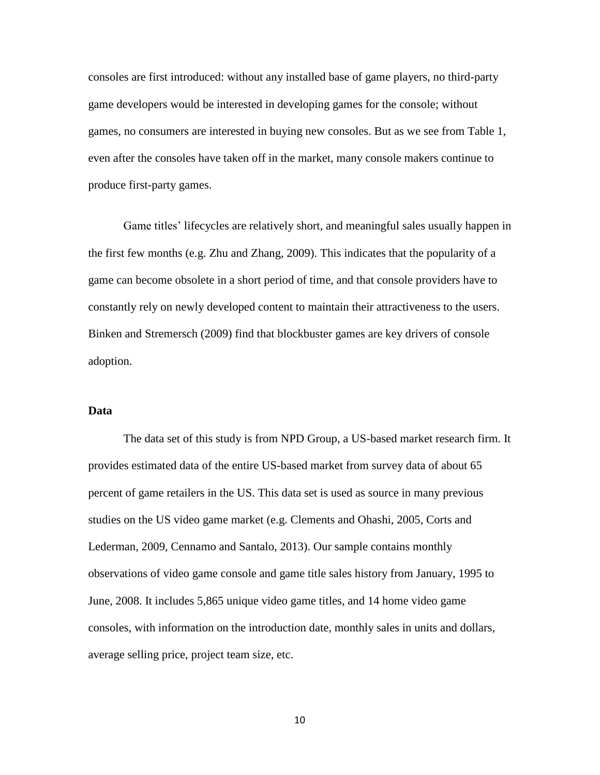consoles are first introduced: without any installed base of game players, no third-party game developers would be interested in developing games for the console; without games, no consumers are interested in buying new consoles. But as we see from Table 1, even after the consoles have taken off in the market, many console makers continue to produce first-party games.

Game titles' lifecycles are relatively short, and meaningful sales usually happen in the first few months (e.g. Zhu and Zhang, 2009). This indicates that the popularity of a game can become obsolete in a short period of time, and that console providers have to constantly rely on newly developed content to maintain their attractiveness to the users. Binken and Stremersch (2009) find that blockbuster games are key drivers of console adoption.

### **Data**

The data set of this study is from NPD Group, a US-based market research firm. It provides estimated data of the entire US-based market from survey data of about 65 percent of game retailers in the US. This data set is used as source in many previous studies on the US video game market (e.g. Clements and Ohashi, 2005, Corts and Lederman, 2009, Cennamo and Santalo, 2013). Our sample contains monthly observations of video game console and game title sales history from January, 1995 to June, 2008. It includes 5,865 unique video game titles, and 14 home video game consoles, with information on the introduction date, monthly sales in units and dollars, average selling price, project team size, etc.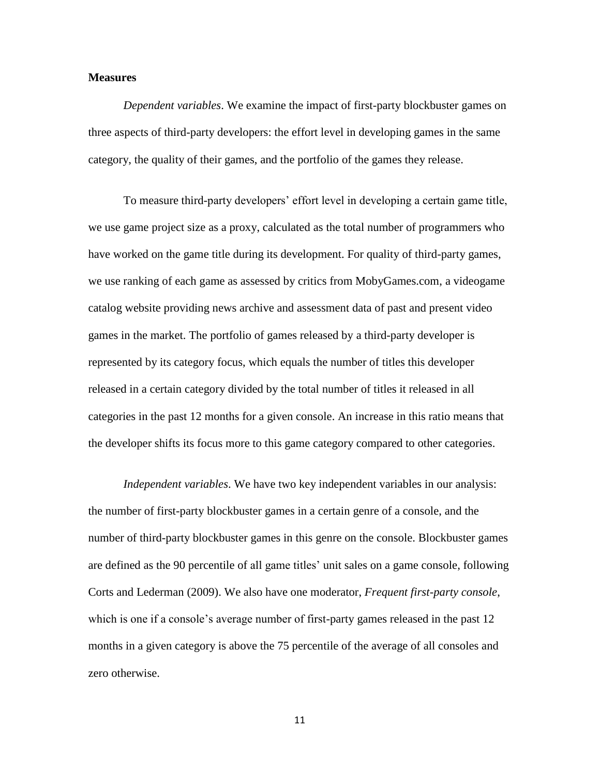# **Measures**

*Dependent variables*. We examine the impact of first-party blockbuster games on three aspects of third-party developers: the effort level in developing games in the same category, the quality of their games, and the portfolio of the games they release.

To measure third-party developers' effort level in developing a certain game title, we use game project size as a proxy, calculated as the total number of programmers who have worked on the game title during its development. For quality of third-party games, we use ranking of each game as assessed by critics from MobyGames.com, a videogame catalog website providing news archive and assessment data of past and present video games in the market. The portfolio of games released by a third-party developer is represented by its category focus, which equals the number of titles this developer released in a certain category divided by the total number of titles it released in all categories in the past 12 months for a given console. An increase in this ratio means that the developer shifts its focus more to this game category compared to other categories.

*Independent variables*. We have two key independent variables in our analysis: the number of first-party blockbuster games in a certain genre of a console, and the number of third-party blockbuster games in this genre on the console. Blockbuster games are defined as the 90 percentile of all game titles' unit sales on a game console, following Corts and Lederman (2009). We also have one moderator, *Frequent first-party console*, which is one if a console's average number of first-party games released in the past 12 months in a given category is above the 75 percentile of the average of all consoles and zero otherwise.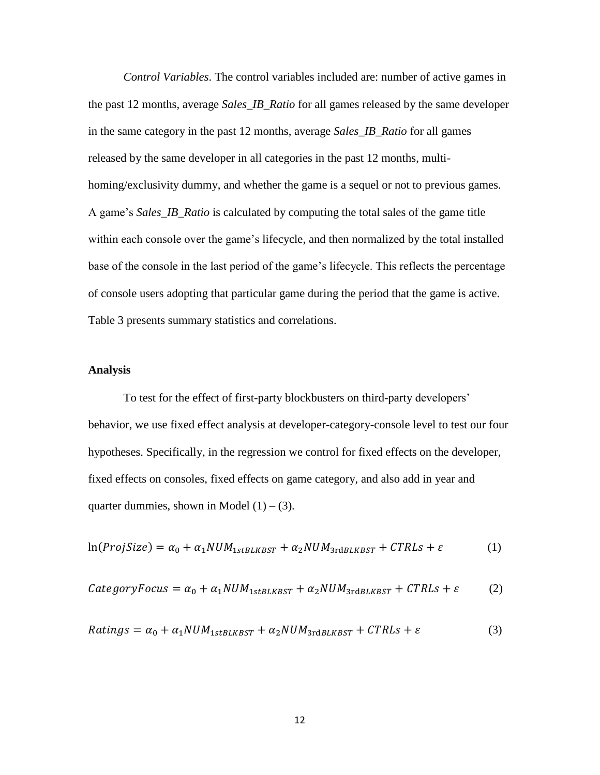*Control Variables*. The control variables included are: number of active games in the past 12 months, average *Sales\_IB\_Ratio* for all games released by the same developer in the same category in the past 12 months, average *Sales\_IB\_Ratio* for all games released by the same developer in all categories in the past 12 months, multihoming/exclusivity dummy, and whether the game is a sequel or not to previous games. A game's *Sales\_IB\_Ratio* is calculated by computing the total sales of the game title within each console over the game's lifecycle, and then normalized by the total installed base of the console in the last period of the game's lifecycle. This reflects the percentage of console users adopting that particular game during the period that the game is active. Table 3 presents summary statistics and correlations.

# **Analysis**

To test for the effect of first-party blockbusters on third-party developers' behavior, we use fixed effect analysis at developer-category-console level to test our four hypotheses. Specifically, in the regression we control for fixed effects on the developer, fixed effects on consoles, fixed effects on game category, and also add in year and quarter dummies, shown in Model  $(1) - (3)$ .

$$
\ln(ProjSize) = \alpha_0 + \alpha_1 NUM_{1stBLKBST} + \alpha_2 NUM_{3rdBLKBST} + CTRLs + \varepsilon
$$
 (1)

$$
CategoryFocus = \alpha_0 + \alpha_1 NUM_{1stBLKBST} + \alpha_2 NUM_{3rdBLKBST} + CTRLs + \varepsilon
$$
 (2)

$$
Ratings = \alpha_0 + \alpha_1 NUM_{1stBLKBST} + \alpha_2 NUM_{3rdBLKBST} + CTRLs + \varepsilon
$$
\n(3)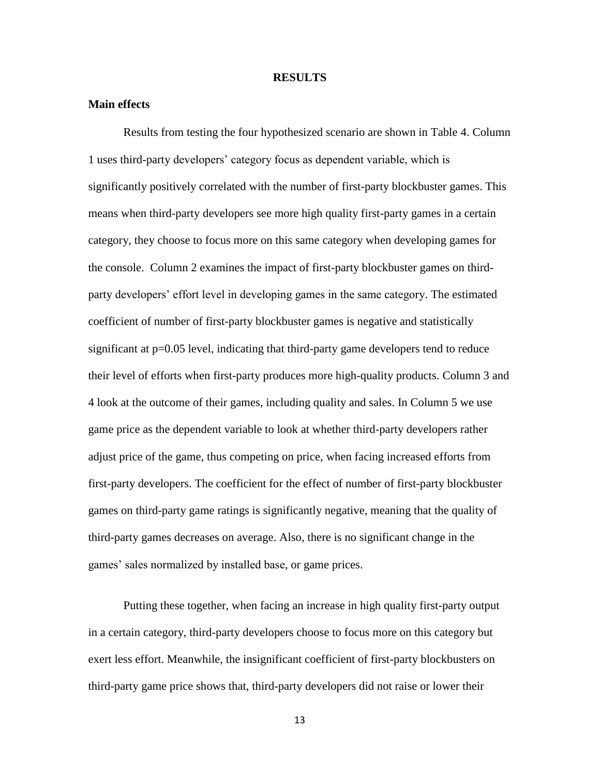#### **RESULTS**

## **Main effects**

Results from testing the four hypothesized scenario are shown in Table 4. Column 1 uses third-party developers' category focus as dependent variable, which is significantly positively correlated with the number of first-party blockbuster games. This means when third-party developers see more high quality first-party games in a certain category, they choose to focus more on this same category when developing games for the console. Column 2 examines the impact of first-party blockbuster games on thirdparty developers' effort level in developing games in the same category. The estimated coefficient of number of first-party blockbuster games is negative and statistically significant at p=0.05 level, indicating that third-party game developers tend to reduce their level of efforts when first-party produces more high-quality products. Column 3 and 4 look at the outcome of their games, including quality and sales. In Column 5 we use game price as the dependent variable to look at whether third-party developers rather adjust price of the game, thus competing on price, when facing increased efforts from first-party developers. The coefficient for the effect of number of first-party blockbuster games on third-party game ratings is significantly negative, meaning that the quality of third-party games decreases on average. Also, there is no significant change in the games' sales normalized by installed base, or game prices.

Putting these together, when facing an increase in high quality first-party output in a certain category, third-party developers choose to focus more on this category but exert less effort. Meanwhile, the insignificant coefficient of first-party blockbusters on third-party game price shows that, third-party developers did not raise or lower their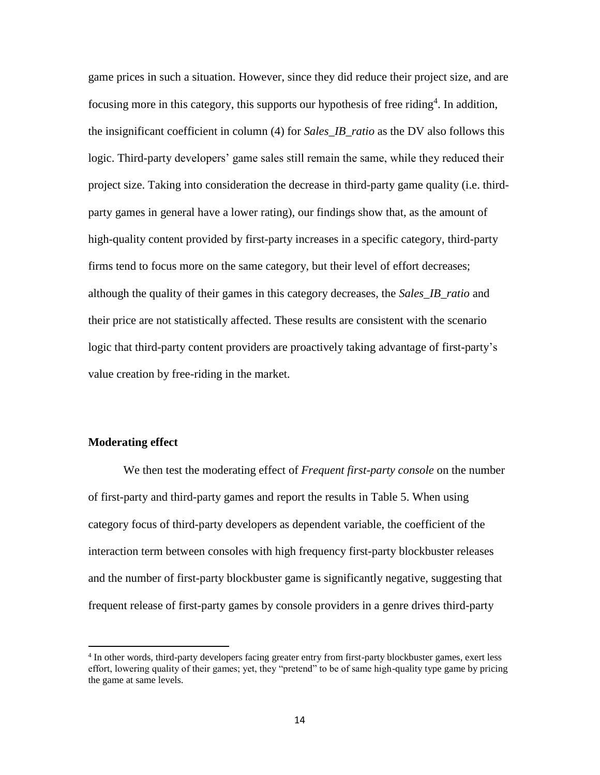game prices in such a situation. However, since they did reduce their project size, and are focusing more in this category, this supports our hypothesis of free riding<sup>4</sup>. In addition, the insignificant coefficient in column (4) for *Sales\_IB\_ratio* as the DV also follows this logic. Third-party developers' game sales still remain the same, while they reduced their project size. Taking into consideration the decrease in third-party game quality (i.e. thirdparty games in general have a lower rating), our findings show that, as the amount of high-quality content provided by first-party increases in a specific category, third-party firms tend to focus more on the same category, but their level of effort decreases; although the quality of their games in this category decreases, the *Sales\_IB\_ratio* and their price are not statistically affected. These results are consistent with the scenario logic that third-party content providers are proactively taking advantage of first-party's value creation by free-riding in the market.

# **Moderating effect**

l

We then test the moderating effect of *Frequent first-party console* on the number of first-party and third-party games and report the results in Table 5. When using category focus of third-party developers as dependent variable, the coefficient of the interaction term between consoles with high frequency first-party blockbuster releases and the number of first-party blockbuster game is significantly negative, suggesting that frequent release of first-party games by console providers in a genre drives third-party

<sup>4</sup> In other words, third-party developers facing greater entry from first-party blockbuster games, exert less effort, lowering quality of their games; yet, they "pretend" to be of same high-quality type game by pricing the game at same levels.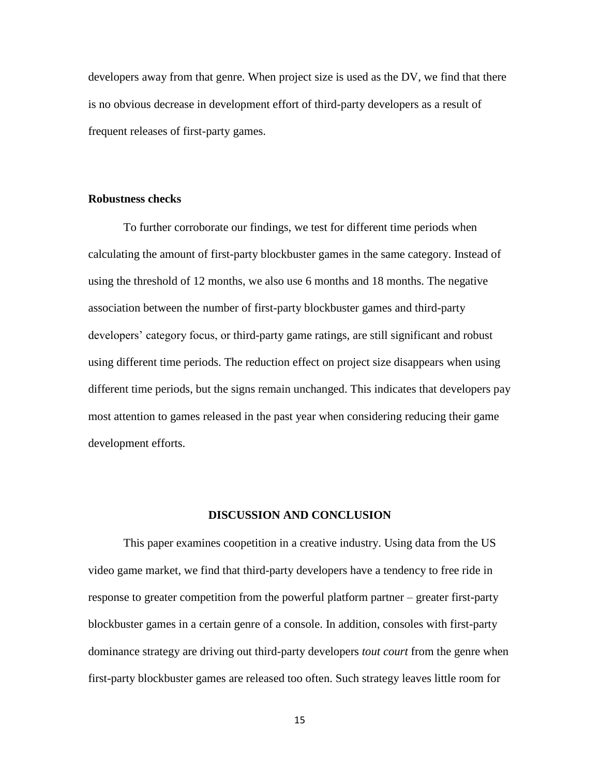developers away from that genre. When project size is used as the DV, we find that there is no obvious decrease in development effort of third-party developers as a result of frequent releases of first-party games.

### **Robustness checks**

To further corroborate our findings, we test for different time periods when calculating the amount of first-party blockbuster games in the same category. Instead of using the threshold of 12 months, we also use 6 months and 18 months. The negative association between the number of first-party blockbuster games and third-party developers' category focus, or third-party game ratings, are still significant and robust using different time periods. The reduction effect on project size disappears when using different time periods, but the signs remain unchanged. This indicates that developers pay most attention to games released in the past year when considering reducing their game development efforts.

#### **DISCUSSION AND CONCLUSION**

This paper examines coopetition in a creative industry. Using data from the US video game market, we find that third-party developers have a tendency to free ride in response to greater competition from the powerful platform partner – greater first-party blockbuster games in a certain genre of a console. In addition, consoles with first-party dominance strategy are driving out third-party developers *tout court* from the genre when first-party blockbuster games are released too often. Such strategy leaves little room for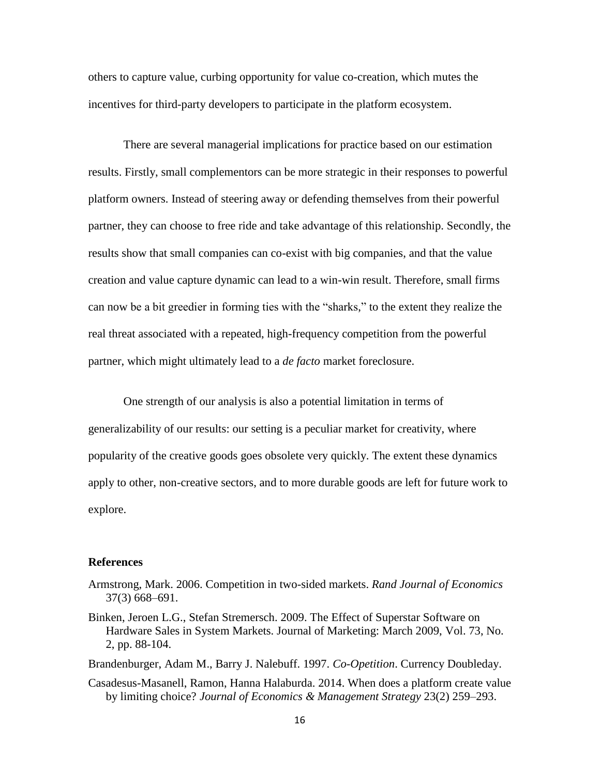others to capture value, curbing opportunity for value co-creation, which mutes the incentives for third-party developers to participate in the platform ecosystem.

There are several managerial implications for practice based on our estimation results. Firstly, small complementors can be more strategic in their responses to powerful platform owners. Instead of steering away or defending themselves from their powerful partner, they can choose to free ride and take advantage of this relationship. Secondly, the results show that small companies can co-exist with big companies, and that the value creation and value capture dynamic can lead to a win-win result. Therefore, small firms can now be a bit greedier in forming ties with the "sharks," to the extent they realize the real threat associated with a repeated, high-frequency competition from the powerful partner, which might ultimately lead to a *de facto* market foreclosure.

One strength of our analysis is also a potential limitation in terms of generalizability of our results: our setting is a peculiar market for creativity, where popularity of the creative goods goes obsolete very quickly. The extent these dynamics apply to other, non-creative sectors, and to more durable goods are left for future work to explore.

# **References**

- Armstrong, Mark. 2006. Competition in two-sided markets. *Rand Journal of Economics* 37(3) 668–691.
- Binken, Jeroen L.G., Stefan Stremersch. 2009. The Effect of Superstar Software on Hardware Sales in System Markets. Journal of Marketing: March 2009, Vol. 73, No. 2, pp. 88-104.

Brandenburger, Adam M., Barry J. Nalebuff. 1997. *Co-Opetition*. Currency Doubleday.

Casadesus-Masanell, Ramon, Hanna Halaburda. 2014. When does a platform create value by limiting choice? *Journal of Economics & Management Strategy* 23(2) 259–293.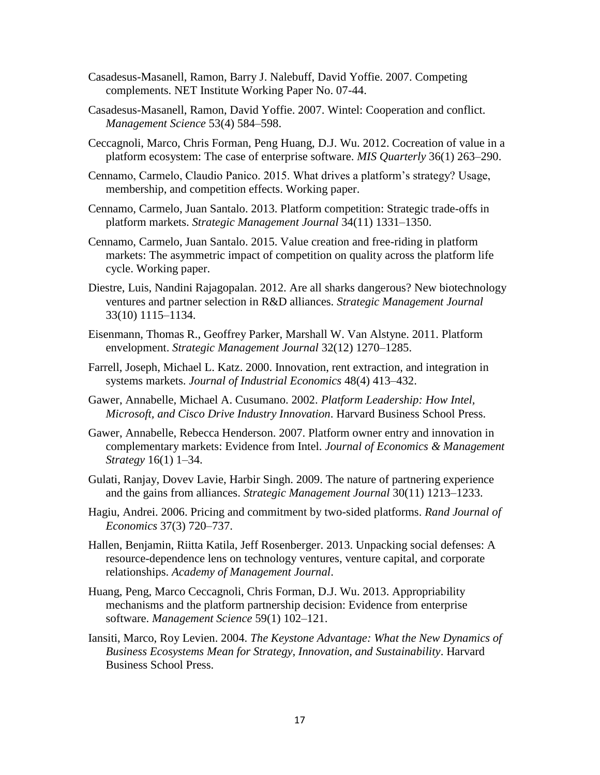- Casadesus-Masanell, Ramon, Barry J. Nalebuff, David Yoffie. 2007. Competing complements. NET Institute Working Paper No. 07-44.
- Casadesus-Masanell, Ramon, David Yoffie. 2007. Wintel: Cooperation and conflict. *Management Science* 53(4) 584–598.
- Ceccagnoli, Marco, Chris Forman, Peng Huang, D.J. Wu. 2012. Cocreation of value in a platform ecosystem: The case of enterprise software. *MIS Quarterly* 36(1) 263–290.
- Cennamo, Carmelo, Claudio Panico. 2015. What drives a platform's strategy? Usage, membership, and competition effects. Working paper.
- Cennamo, Carmelo, Juan Santalo. 2013. Platform competition: Strategic trade-offs in platform markets. *Strategic Management Journal* 34(11) 1331–1350.
- Cennamo, Carmelo, Juan Santalo. 2015. Value creation and free-riding in platform markets: The asymmetric impact of competition on quality across the platform life cycle. Working paper.
- Diestre, Luis, Nandini Rajagopalan. 2012. Are all sharks dangerous? New biotechnology ventures and partner selection in R&D alliances. *Strategic Management Journal* 33(10) 1115–1134.
- Eisenmann, Thomas R., Geoffrey Parker, Marshall W. Van Alstyne. 2011. Platform envelopment. *Strategic Management Journal* 32(12) 1270–1285.
- Farrell, Joseph, Michael L. Katz. 2000. Innovation, rent extraction, and integration in systems markets. *Journal of Industrial Economics* 48(4) 413–432.
- Gawer, Annabelle, Michael A. Cusumano. 2002. *Platform Leadership: How Intel, Microsoft, and Cisco Drive Industry Innovation*. Harvard Business School Press.
- Gawer, Annabelle, Rebecca Henderson. 2007. Platform owner entry and innovation in complementary markets: Evidence from Intel. *Journal of Economics & Management Strategy* 16(1) 1–34.
- Gulati, Ranjay, Dovev Lavie, Harbir Singh. 2009. The nature of partnering experience and the gains from alliances. *Strategic Management Journal* 30(11) 1213–1233.
- Hagiu, Andrei. 2006. Pricing and commitment by two-sided platforms. *Rand Journal of Economics* 37(3) 720–737.
- Hallen, Benjamin, Riitta Katila, Jeff Rosenberger. 2013. Unpacking social defenses: A resource-dependence lens on technology ventures, venture capital, and corporate relationships. *Academy of Management Journal*.
- Huang, Peng, Marco Ceccagnoli, Chris Forman, D.J. Wu. 2013. Appropriability mechanisms and the platform partnership decision: Evidence from enterprise software. *Management Science* 59(1) 102–121.
- Iansiti, Marco, Roy Levien. 2004. *The Keystone Advantage: What the New Dynamics of Business Ecosystems Mean for Strategy, Innovation, and Sustainability*. Harvard Business School Press.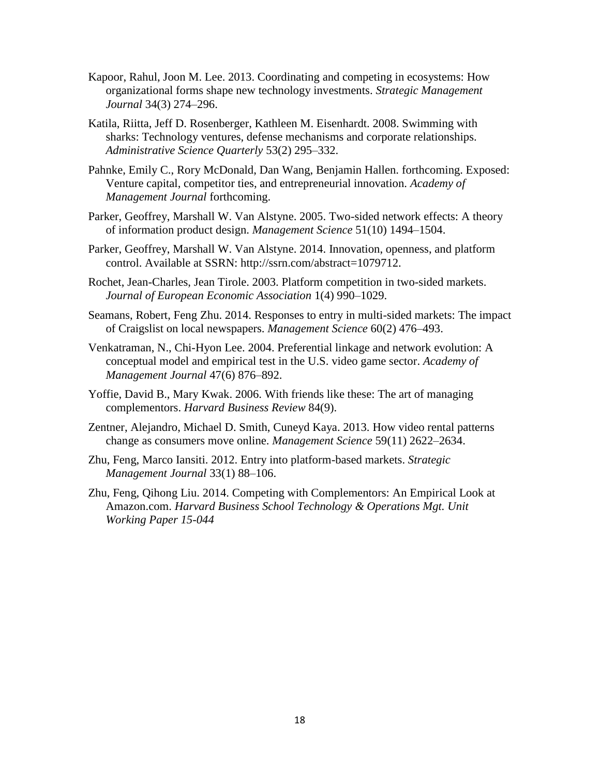- Kapoor, Rahul, Joon M. Lee. 2013. Coordinating and competing in ecosystems: How organizational forms shape new technology investments. *Strategic Management Journal* 34(3) 274–296.
- Katila, Riitta, Jeff D. Rosenberger, Kathleen M. Eisenhardt. 2008. Swimming with sharks: Technology ventures, defense mechanisms and corporate relationships. *Administrative Science Quarterly* 53(2) 295–332.
- Pahnke, Emily C., Rory McDonald, Dan Wang, Benjamin Hallen. forthcoming. Exposed: Venture capital, competitor ties, and entrepreneurial innovation. *Academy of Management Journal* forthcoming.
- Parker, Geoffrey, Marshall W. Van Alstyne. 2005. Two-sided network effects: A theory of information product design. *Management Science* 51(10) 1494–1504.
- Parker, Geoffrey, Marshall W. Van Alstyne. 2014. Innovation, openness, and platform control. Available at SSRN: http://ssrn.com/abstract=1079712.
- Rochet, Jean-Charles, Jean Tirole. 2003. Platform competition in two-sided markets. *Journal of European Economic Association* 1(4) 990–1029.
- Seamans, Robert, Feng Zhu. 2014. Responses to entry in multi-sided markets: The impact of Craigslist on local newspapers. *Management Science* 60(2) 476–493.
- Venkatraman, N., Chi-Hyon Lee. 2004. Preferential linkage and network evolution: A conceptual model and empirical test in the U.S. video game sector. *Academy of Management Journal* 47(6) 876–892.
- Yoffie, David B., Mary Kwak. 2006. With friends like these: The art of managing complementors. *Harvard Business Review* 84(9).
- Zentner, Alejandro, Michael D. Smith, Cuneyd Kaya. 2013. How video rental patterns change as consumers move online. *Management Science* 59(11) 2622–2634.
- Zhu, Feng, Marco Iansiti. 2012. Entry into platform-based markets. *Strategic Management Journal* 33(1) 88–106.
- Zhu, Feng, Qihong Liu. 2014. Competing with Complementors: An Empirical Look at Amazon.com. *Harvard Business School Technology & Operations Mgt. Unit Working Paper 15-044*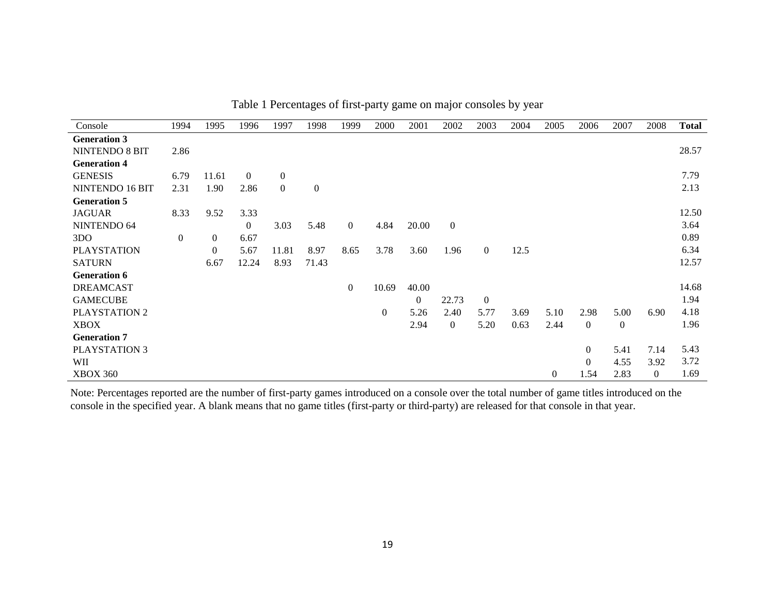| Console              | 1994           | 1995           | 1996           | 1997           | 1998             | 1999             | 2000         | 2001             | 2002             | 2003           | 2004 | 2005     | 2006           | 2007     | 2008     | <b>Total</b> |
|----------------------|----------------|----------------|----------------|----------------|------------------|------------------|--------------|------------------|------------------|----------------|------|----------|----------------|----------|----------|--------------|
| <b>Generation 3</b>  |                |                |                |                |                  |                  |              |                  |                  |                |      |          |                |          |          |              |
| NINTENDO 8 BIT       | 2.86           |                |                |                |                  |                  |              |                  |                  |                |      |          |                |          |          | 28.57        |
| <b>Generation 4</b>  |                |                |                |                |                  |                  |              |                  |                  |                |      |          |                |          |          |              |
| <b>GENESIS</b>       | 6.79           | 11.61          | $\Omega$       | $\overline{0}$ |                  |                  |              |                  |                  |                |      |          |                |          |          | 7.79         |
| NINTENDO 16 BIT      | 2.31           | 1.90           | 2.86           | $\overline{0}$ | $\boldsymbol{0}$ |                  |              |                  |                  |                |      |          |                |          |          | 2.13         |
| <b>Generation 5</b>  |                |                |                |                |                  |                  |              |                  |                  |                |      |          |                |          |          |              |
| <b>JAGUAR</b>        | 8.33           | 9.52           | 3.33           |                |                  |                  |              |                  |                  |                |      |          |                |          |          | 12.50        |
| NINTENDO 64          |                |                | $\overline{0}$ | 3.03           | 5.48             | $\overline{0}$   | 4.84         | 20.00            | $\boldsymbol{0}$ |                |      |          |                |          |          | 3.64         |
| 3DO                  | $\overline{0}$ | $\overline{0}$ | 6.67           |                |                  |                  |              |                  |                  |                |      |          |                |          |          | 0.89         |
| <b>PLAYSTATION</b>   |                | $\overline{0}$ | 5.67           | 11.81          | 8.97             | 8.65             | 3.78         | 3.60             | 1.96             | $\overline{0}$ | 12.5 |          |                |          |          | 6.34         |
| <b>SATURN</b>        |                | 6.67           | 12.24          | 8.93           | 71.43            |                  |              |                  |                  |                |      |          |                |          |          | 12.57        |
| <b>Generation 6</b>  |                |                |                |                |                  |                  |              |                  |                  |                |      |          |                |          |          |              |
| <b>DREAMCAST</b>     |                |                |                |                |                  | $\boldsymbol{0}$ | 10.69        | 40.00            |                  |                |      |          |                |          |          | 14.68        |
| <b>GAMECUBE</b>      |                |                |                |                |                  |                  |              | $\boldsymbol{0}$ | 22.73            | $\overline{0}$ |      |          |                |          |          | 1.94         |
| PLAYSTATION 2        |                |                |                |                |                  |                  | $\mathbf{0}$ | 5.26             | 2.40             | 5.77           | 3.69 | 5.10     | 2.98           | 5.00     | 6.90     | 4.18         |
| <b>XBOX</b>          |                |                |                |                |                  |                  |              | 2.94             | $\overline{0}$   | 5.20           | 0.63 | 2.44     | $\Omega$       | $\Omega$ |          | 1.96         |
| <b>Generation 7</b>  |                |                |                |                |                  |                  |              |                  |                  |                |      |          |                |          |          |              |
| <b>PLAYSTATION 3</b> |                |                |                |                |                  |                  |              |                  |                  |                |      |          | $\overline{0}$ | 5.41     | 7.14     | 5.43         |
| WII                  |                |                |                |                |                  |                  |              |                  |                  |                |      |          | $\Omega$       | 4.55     | 3.92     | 3.72         |
| <b>XBOX 360</b>      |                |                |                |                |                  |                  |              |                  |                  |                |      | $\left($ | 1.54           | 2.83     | $\theta$ | 1.69         |

Table 1 Percentages of first-party game on major consoles by year

Note: Percentages reported are the number of first-party games introduced on a console over the total number of game titles introduced on the console in the specified year. A blank means that no game titles (first-party or third-party) are released for that console in that year.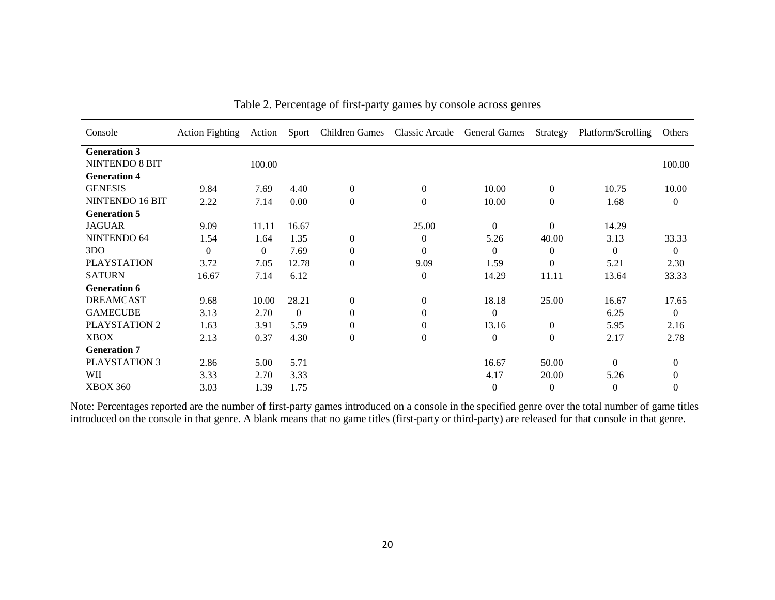| Console             | <b>Action Fighting</b> | Action         | Sport          | Children Games Classic Arcade General Games |                |                  | Strategy         | Platform/Scrolling | Others       |
|---------------------|------------------------|----------------|----------------|---------------------------------------------|----------------|------------------|------------------|--------------------|--------------|
| <b>Generation 3</b> |                        |                |                |                                             |                |                  |                  |                    |              |
| NINTENDO 8 BIT      |                        | 100.00         |                |                                             |                |                  |                  |                    | 100.00       |
| <b>Generation 4</b> |                        |                |                |                                             |                |                  |                  |                    |              |
| <b>GENESIS</b>      | 9.84                   | 7.69           | 4.40           | $\mathbf{0}$                                | $\overline{0}$ | 10.00            | $\boldsymbol{0}$ | 10.75              | 10.00        |
| NINTENDO 16 BIT     | 2.22                   | 7.14           | 0.00           | $\mathbf{0}$                                | $\overline{0}$ | 10.00            | $\boldsymbol{0}$ | 1.68               | $\mathbf{0}$ |
| <b>Generation 5</b> |                        |                |                |                                             |                |                  |                  |                    |              |
| <b>JAGUAR</b>       | 9.09                   | 11.11          | 16.67          |                                             | 25.00          | $\mathbf{0}$     | $\Omega$         | 14.29              |              |
| NINTENDO 64         | 1.54                   | 1.64           | 1.35           | $\mathbf{0}$                                | $\overline{0}$ | 5.26             | 40.00            | 3.13               | 33.33        |
| 3D <sub>O</sub>     | $\Omega$               | $\overline{0}$ | 7.69           | $\mathbf{0}$                                | $\theta$       | $\mathbf{0}$     | $\theta$         | $\theta$           | $\theta$     |
| <b>PLAYSTATION</b>  | 3.72                   | 7.05           | 12.78          | $\Omega$                                    | 9.09           | 1.59             | $\Omega$         | 5.21               | 2.30         |
| <b>SATURN</b>       | 16.67                  | 7.14           | 6.12           |                                             | $\Omega$       | 14.29            | 11.11            | 13.64              | 33.33        |
| <b>Generation 6</b> |                        |                |                |                                             |                |                  |                  |                    |              |
| <b>DREAMCAST</b>    | 9.68                   | 10.00          | 28.21          | $\mathbf{0}$                                | $\theta$       | 18.18            | 25.00            | 16.67              | 17.65        |
| <b>GAMECUBE</b>     | 3.13                   | 2.70           | $\overline{0}$ | $\mathbf{0}$                                | $\theta$       | $\mathbf{0}$     |                  | 6.25               | $\mathbf{0}$ |
| PLAYSTATION 2       | 1.63                   | 3.91           | 5.59           | $\mathbf{0}$                                | $\theta$       | 13.16            | $\boldsymbol{0}$ | 5.95               | 2.16         |
| <b>XBOX</b>         | 2.13                   | 0.37           | 4.30           | $\theta$                                    | $\overline{0}$ | $\boldsymbol{0}$ | $\boldsymbol{0}$ | 2.17               | 2.78         |
| <b>Generation 7</b> |                        |                |                |                                             |                |                  |                  |                    |              |
| PLAYSTATION 3       | 2.86                   | 5.00           | 5.71           |                                             |                | 16.67            | 50.00            | $\Omega$           | $\theta$     |
| WII                 | 3.33                   | 2.70           | 3.33           |                                             |                | 4.17             | 20.00            | 5.26               | $\mathbf{0}$ |
| <b>XBOX 360</b>     | 3.03                   | 1.39           | 1.75           |                                             |                | $\mathbf{0}$     | $\overline{0}$   | $\Omega$           | $\theta$     |

Table 2. Percentage of first-party games by console across genres

Note: Percentages reported are the number of first-party games introduced on a console in the specified genre over the total number of game titles introduced on the console in that genre. A blank means that no game titles (first-party or third-party) are released for that console in that genre.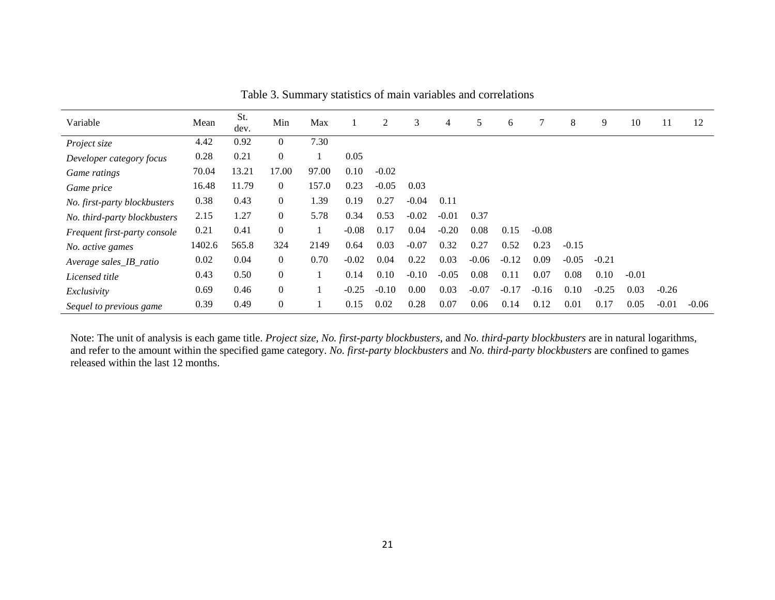| Variable                     | Mean   | St.<br>dev. | Min            | Max   |         | 2       | 3       | 4       | 5       | 6       |         | 8       | 9       | 10      | 11      | 12      |
|------------------------------|--------|-------------|----------------|-------|---------|---------|---------|---------|---------|---------|---------|---------|---------|---------|---------|---------|
| Project size                 | 4.42   | 0.92        | $\overline{0}$ | 7.30  |         |         |         |         |         |         |         |         |         |         |         |         |
| Developer category focus     | 0.28   | 0.21        | $\theta$       |       | 0.05    |         |         |         |         |         |         |         |         |         |         |         |
| Game ratings                 | 70.04  | 13.21       | 17.00          | 97.00 | 0.10    | $-0.02$ |         |         |         |         |         |         |         |         |         |         |
| Game price                   | 16.48  | 11.79       | $\theta$       | 157.0 | 0.23    | $-0.05$ | 0.03    |         |         |         |         |         |         |         |         |         |
| No. first-party blockbusters | 0.38   | 0.43        | $\overline{0}$ | 1.39  | 0.19    | 0.27    | $-0.04$ | 0.11    |         |         |         |         |         |         |         |         |
| No. third-party blockbusters | 2.15   | 1.27        | $\overline{0}$ | 5.78  | 0.34    | 0.53    | $-0.02$ | $-0.01$ | 0.37    |         |         |         |         |         |         |         |
| Frequent first-party console | 0.21   | 0.41        | $\overline{0}$ |       | $-0.08$ | 0.17    | 0.04    | $-0.20$ | 0.08    | 0.15    | $-0.08$ |         |         |         |         |         |
| No. active games             | 1402.6 | 565.8       | 324            | 2149  | 0.64    | 0.03    | $-0.07$ | 0.32    | 0.27    | 0.52    | 0.23    | $-0.15$ |         |         |         |         |
| Average sales_IB_ratio       | 0.02   | 0.04        | $\theta$       | 0.70  | $-0.02$ | 0.04    | 0.22    | 0.03    | $-0.06$ | $-0.12$ | 0.09    | $-0.05$ | $-0.21$ |         |         |         |
| Licensed title               | 0.43   | 0.50        | $\overline{0}$ |       | 0.14    | 0.10    | $-0.10$ | $-0.05$ | 0.08    | 0.11    | 0.07    | 0.08    | 0.10    | $-0.01$ |         |         |
| Exclusivity                  | 0.69   | 0.46        | $\overline{0}$ |       | $-0.25$ | $-0.10$ | 0.00    | 0.03    | $-0.07$ | $-0.17$ | $-0.16$ | 0.10    | $-0.25$ | 0.03    | $-0.26$ |         |
| Sequel to previous game      | 0.39   | 0.49        | $\overline{0}$ |       | 0.15    | 0.02    | 0.28    | 0.07    | 0.06    | 0.14    | 0.12    | 0.01    | 0.17    | 0.05    | $-0.01$ | $-0.06$ |

Table 3. Summary statistics of main variables and correlations

Note: The unit of analysis is each game title. *Project size, No. first-party blockbusters*, and *No. third-party blockbusters* are in natural logarithms, and refer to the amount within the specified game category. *No. first-party blockbusters* and *No. third-party blockbusters* are confined to games released within the last 12 months.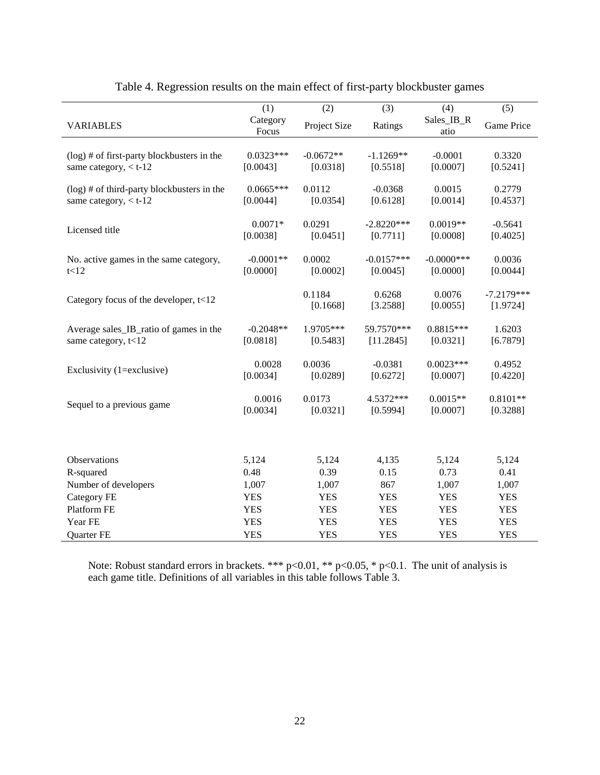|                                               | (1)         | (2)          | (3)          | (4)           | (5)          |
|-----------------------------------------------|-------------|--------------|--------------|---------------|--------------|
| <b>VARIABLES</b>                              | Category    | Project Size | Ratings      | Sales_IB_R    | Game Price   |
|                                               | Focus       |              |              | atio          |              |
|                                               |             |              |              |               |              |
| $(\log)$ # of first-party blockbusters in the | $0.0323***$ | $-0.0672**$  | $-1.1269**$  | $-0.0001$     | 0.3320       |
| same category, $<$ t-12                       | [0.0043]    | [0.0318]     | [0.5518]     | [0.0007]      | [0.5241]     |
| $(\log)$ # of third-party blockbusters in the | $0.0665***$ | 0.0112       | $-0.0368$    | 0.0015        | 0.2779       |
| same category, $<$ t-12                       | [0.0044]    | [0.0354]     | [0.6128]     | [0.0014]      | [0.4537]     |
|                                               |             |              |              |               |              |
|                                               | $0.0071*$   | 0.0291       | $-2.8220***$ | $0.0019**$    | $-0.5641$    |
| Licensed title                                | [0.0038]    | [0.0451]     | [0.7711]     | [0.0008]      | [0.4025]     |
|                                               |             |              |              |               |              |
| No. active games in the same category,        | $-0.0001**$ | 0.0002       | $-0.0157***$ | $-0.0000$ *** | 0.0036       |
| t<12                                          | [0.0000]    | [0.0002]     | [0.0045]     | [0.0000]      | [0.0044]     |
|                                               |             |              |              |               |              |
|                                               |             | 0.1184       | 0.6268       | 0.0076        | $-7.2179***$ |
| Category focus of the developer, $t<12$       |             | [0.1668]     | [3.2588]     | [0.0055]      | [1.9724]     |
|                                               |             |              |              |               |              |
| Average sales_IB_ratio of games in the        | $-0.2048**$ | 1.9705***    | 59.7570***   | $0.8815***$   | 1.6203       |
| same category, t<12                           | [0.0818]    | [0.5483]     | [11.2845]    | [0.0321]      | [6.7879]     |
|                                               |             |              |              |               |              |
|                                               | 0.0028      | 0.0036       | $-0.0381$    | $0.0023***$   | 0.4952       |
| Exclusivity (1=exclusive)                     | [0.0034]    | [0.0289]     | [0.6272]     | [0.0007]      | [0.4220]     |
|                                               |             |              |              |               |              |
|                                               | 0.0016      | 0.0173       | 4.5372***    | $0.0015**$    | $0.8101**$   |
| Sequel to a previous game                     | [0.0034]    | [0.0321]     | [0.5994]     | [0.0007]      | [0.3288]     |
|                                               |             |              |              |               |              |
|                                               |             |              |              |               |              |
|                                               |             |              |              |               |              |
| Observations                                  | 5,124       | 5,124        | 4,135        | 5,124         | 5,124        |
| R-squared                                     | 0.48        | 0.39         | 0.15         | 0.73          | 0.41         |
| Number of developers                          | 1,007       | 1,007        | 867          | 1,007         | 1,007        |
| Category FE                                   | <b>YES</b>  | <b>YES</b>   | <b>YES</b>   | <b>YES</b>    | <b>YES</b>   |
| Platform FE                                   | <b>YES</b>  | <b>YES</b>   | <b>YES</b>   | <b>YES</b>    | <b>YES</b>   |
| Year FE                                       | <b>YES</b>  | <b>YES</b>   | <b>YES</b>   | <b>YES</b>    | <b>YES</b>   |
| Quarter FE                                    | <b>YES</b>  | <b>YES</b>   | <b>YES</b>   | <b>YES</b>    | <b>YES</b>   |

Table 4. Regression results on the main effect of first-party blockbuster games

Note: Robust standard errors in brackets. \*\*\*  $p<0.01$ , \*\*  $p<0.05$ , \*  $p<0.1$ . The unit of analysis is each game title. Definitions of all variables in this table follows Table 3.